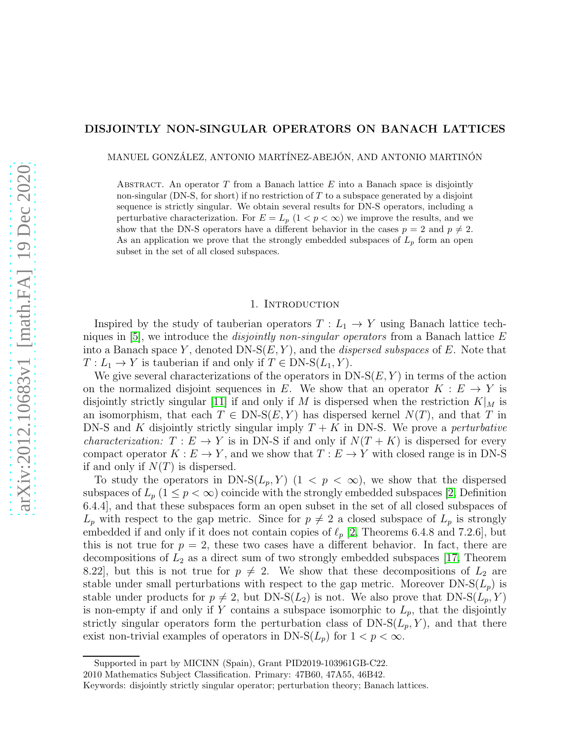## DISJOINTLY NON-SINGULAR OPERATORS ON BANACH LATTICES

MANUEL GONZÁLEZ, ANTONIO MARTÍNEZ-ABEJÓN, AND ANTONIO MARTINÓN

ABSTRACT. An operator  $T$  from a Banach lattice  $E$  into a Banach space is disjointly non-singular (DN-S, for short) if no restriction of  $T$  to a subspace generated by a disjoint sequence is strictly singular. We obtain several results for DN-S operators, including a perturbative characterization. For  $E = L_p$  (1 <  $p < \infty$ ) we improve the results, and we show that the DN-S operators have a different behavior in the cases  $p = 2$  and  $p \neq 2$ . As an application we prove that the strongly embedded subspaces of  $L_p$  form an open subset in the set of all closed subspaces.

#### 1. Introduction

Inspired by the study of tauberian operators  $T: L_1 \to Y$  using Banach lattice techniques in [\[5\]](#page-10-0), we introduce the *disjointly non-singular operators* from a Banach lattice E into a Banach space Y, denoted DN- $S(E, Y)$ , and the *dispersed subspaces* of E. Note that  $T: L_1 \to Y$  is tauberian if and only if  $T \in \text{DN-S}(L_1, Y)$ .

We give several characterizations of the operators in  $DN-S(E, Y)$  in terms of the action on the normalized disjoint sequences in E. We show that an operator  $K : E \to Y$  is disjointly strictly singular [\[11\]](#page-10-1) if and only if M is dispersed when the restriction  $K|_M$  is an isomorphism, that each  $T \in DN-S(E, Y)$  has dispersed kernel  $N(T)$ , and that T in DN-S and K disjointly strictly singular imply  $T + K$  in DN-S. We prove a *perturbative characterization:*  $T : E \to Y$  is in DN-S if and only if  $N(T + K)$  is dispersed for every compact operator  $K : E \to Y$ , and we show that  $T : E \to Y$  with closed range is in DN-S if and only if  $N(T)$  is dispersed.

To study the operators in DN-S( $L_p$ , Y)  $(1 \lt p \lt \infty)$ , we show that the dispersed subspaces of  $L_p$  ( $1 \leq p < \infty$ ) coincide with the strongly embedded subspaces [\[2,](#page-10-2) Definition 6.4.4], and that these subspaces form an open subset in the set of all closed subspaces of  $L_p$  with respect to the gap metric. Since for  $p \neq 2$  a closed subspace of  $L_p$  is strongly embedded if and only if it does not contain copies of  $\ell_p$  [\[2,](#page-10-2) Theorems 6.4.8 and 7.2.6], but this is not true for  $p = 2$ , these two cases have a different behavior. In fact, there are decompositions of  $L_2$  as a direct sum of two strongly embedded subspaces [\[17,](#page-10-3) Theorem 8.22], but this is not true for  $p \neq 2$ . We show that these decompositions of  $L_2$  are stable under small perturbations with respect to the gap metric. Moreover  $DN-S(L_p)$  is stable under products for  $p \neq 2$ , but DN-S( $L_2$ ) is not. We also prove that DN-S( $L_p, Y$ ) is non-empty if and only if Y contains a subspace isomorphic to  $L_p$ , that the disjointly strictly singular operators form the perturbation class of  $DN-S(L_p, Y)$ , and that there exist non-trivial examples of operators in DN-S( $L_p$ ) for  $1 < p < \infty$ .

Supported in part by MICINN (Spain), Grant PID2019-103961GB-C22.

<sup>2010</sup> Mathematics Subject Classification. Primary: 47B60, 47A55, 46B42.

Keywords: disjointly strictly singular operator; perturbation theory; Banach lattices.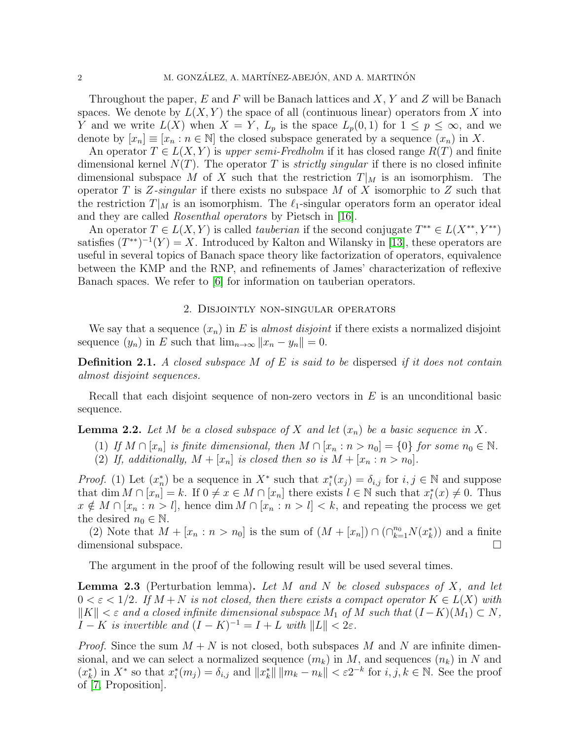Throughout the paper,  $E$  and  $F$  will be Banach lattices and  $X, Y$  and  $Z$  will be Banach spaces. We denote by  $L(X, Y)$  the space of all (continuous linear) operators from X into Y and we write  $L(X)$  when  $X = Y$ ,  $L_p$  is the space  $L_p(0,1)$  for  $1 \leq p \leq \infty$ , and we denote by  $[x_n] \equiv [x_n : n \in \mathbb{N}]$  the closed subspace generated by a sequence  $(x_n)$  in X.

An operator  $T \in L(X, Y)$  is *upper semi-Fredholm* if it has closed range  $R(T)$  and finite dimensional kernel  $N(T)$ . The operator T is *strictly singular* if there is no closed infinite dimensional subspace M of X such that the restriction  $T|_M$  is an isomorphism. The operator T is Z*-singular* if there exists no subspace M of X isomorphic to Z such that the restriction  $T|_M$  is an isomorphism. The  $\ell_1$ -singular operators form an operator ideal and they are called *Rosenthal operators* by Pietsch in [\[16\]](#page-10-4).

An operator  $T \in L(X, Y)$  is called *tauberian* if the second conjugate  $T^{**} \in L(X^{**}, Y^{**})$ satisfies  $(T^{**})^{-1}(Y) = X$ . Introduced by Kalton and Wilansky in [\[13\]](#page-10-5), these operators are useful in several topics of Banach space theory like factorization of operators, equivalence between the KMP and the RNP, and refinements of James' characterization of reflexive Banach spaces. We refer to [\[6\]](#page-10-6) for information on tauberian operators.

### 2. Disjointly non-singular operators

We say that a sequence  $(x_n)$  in E is *almost disjoint* if there exists a normalized disjoint sequence  $(y_n)$  in E such that  $\lim_{n\to\infty}||x_n - y_n|| = 0.$ 

Definition 2.1. *A closed subspace* M *of* E *is said to be* dispersed *if it does not contain almost disjoint sequences.*

Recall that each disjoint sequence of non-zero vectors in  $E$  is an unconditional basic sequence.

<span id="page-1-0"></span>**Lemma 2.2.** Let M be a closed subspace of X and let  $(x_n)$  be a basic sequence in X.

- (1) If  $M \cap [x_n]$  is finite dimensional, then  $M \cap [x_n : n > n_0] = \{0\}$  for some  $n_0 \in \mathbb{N}$ .
- (2) If, additionally,  $M + [x_n]$  is closed then so is  $M + [x_n : n > n_0]$ .

*Proof.* (1) Let  $(x_n^*)$  be a sequence in  $X^*$  such that  $x_i^*(x_j) = \delta_{i,j}$  for  $i, j \in \mathbb{N}$  and suppose that  $\dim M \cap [x_n] = k$ . If  $0 \neq x \in M \cap [x_n]$  there exists  $l \in \mathbb{N}$  such that  $x_l^*(x) \neq 0$ . Thus  $x \notin M \cap [x_n : n > l],$  hence  $\dim M \cap [x_n : n > l] < k$ , and repeating the process we get the desired  $n_0 \in \mathbb{N}$ .

(2) Note that  $M + [x_n : n > n_0]$  is the sum of  $(M + [x_n]) \cap (\bigcap_{k=1}^{n_0} N(x_k^*))$  and a finite dimensional subspace.

The argument in the proof of the following result will be used several times.

<span id="page-1-1"></span>Lemma 2.3 (Perturbation lemma). *Let* M *and* N *be closed subspaces of* X*, and let*  $0 < \varepsilon < 1/2$ . If  $M + N$  is not closed, then there exists a compact operator  $K \in L(X)$  with  $\|K\| < \varepsilon$  and a closed infinite dimensional subspace  $M_1$  of M such that  $(I - K)(M_1) \subset N$ , I – K *is invertible and*  $(I - K)^{-1} = I + L$  *with*  $||L|| < 2\varepsilon$ .

*Proof.* Since the sum  $M + N$  is not closed, both subspaces M and N are infinite dimensional, and we can select a normalized sequence  $(m_k)$  in M, and sequences  $(n_k)$  in N and  $(x_k^*)$  in  $X^*$  so that  $x_i^*(m_j) = \delta_{i,j}$  and  $||x_k^*|| \, ||m_k - n_k|| < \varepsilon 2^{-k}$  for  $i, j, k \in \mathbb{N}$ . See the proof of [\[7,](#page-10-7) Proposition].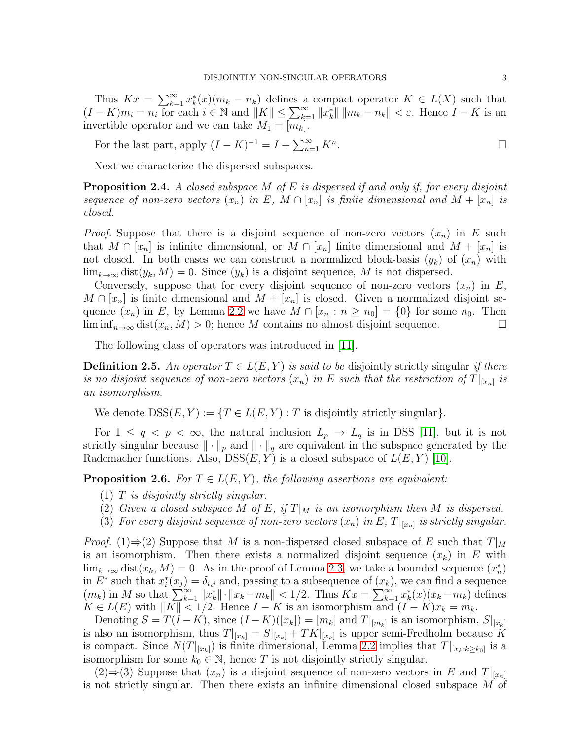Thus  $Kx = \sum_{k=1}^{\infty} x_k^*(x)(m_k - n_k)$  defines a compact operator  $K \in L(X)$  such that  $(I - K)m_i = n_i$  for each  $i \in \mathbb{N}$  and  $||K|| \le \sum_{k=1}^{\infty} ||x_k|| ||m_k - n_k|| < \varepsilon$ . Hence  $I - K$  is an invertible operator and we can take  $M_1 = [m_k]$ .

For the last part, apply  $(I - K)^{-1} = I + \sum_{n=1}^{\infty} K^n$ .

Next we characterize the dispersed subspaces.

<span id="page-2-1"></span>Proposition 2.4. *A closed subspace* M *of* E *is dispersed if and only if, for every disjoint sequence of non-zero vectors*  $(x_n)$  *in*  $E$ *,*  $M \cap [x_n]$  *is finite dimensional and*  $M + [x_n]$  *is closed.*

*Proof.* Suppose that there is a disjoint sequence of non-zero vectors  $(x_n)$  in E such that  $M \cap [x_n]$  is infinite dimensional, or  $M \cap [x_n]$  finite dimensional and  $M + [x_n]$  is not closed. In both cases we can construct a normalized block-basis  $(y_k)$  of  $(x_n)$  with  $\lim_{k\to\infty}$  dist $(y_k, M) = 0$ . Since  $(y_k)$  is a disjoint sequence, M is not dispersed.

Conversely, suppose that for every disjoint sequence of non-zero vectors  $(x_n)$  in E,  $M \cap [x_n]$  is finite dimensional and  $M + [x_n]$  is closed. Given a normalized disjoint sequence  $(x_n)$  in E, by Lemma [2.2](#page-1-0) we have  $M \cap [x_n : n \geq n_0] = \{0\}$  for some  $n_0$ . Then  $\liminf_{n\to\infty} dist(x_n, M) > 0$ ; hence M contains no almost disjoint sequence.

The following class of operators was introduced in [\[11\]](#page-10-1).

**Definition 2.5.** An operator  $T \in L(E, Y)$  is said to be disjointly strictly singular *if there is no disjoint sequence of non-zero vectors*  $(x_n)$  *in* E such that the restriction of  $T|_{[x_n]}$  is *an isomorphism.*

We denote  $DSS(E, Y) := \{T \in L(E, Y) : T$  is disjointly strictly singular.

For  $1 \le q \le p \le \infty$ , the natural inclusion  $L_p \to L_q$  is in DSS [\[11\]](#page-10-1), but it is not strictly singular because  $\|\cdot\|_p$  and  $\|\cdot\|_q$  are equivalent in the subspace generated by the Rademacher functions. Also,  $DSS(E, Y)$  is a closed subspace of  $L(E, Y)$  [\[10\]](#page-10-8).

<span id="page-2-0"></span>**Proposition 2.6.** *For*  $T \in L(E, Y)$ *, the following assertions are equivalent:* 

- (1) T *is disjointly strictly singular.*
- (2) Given a closed subspace M of E, if  $T|_M$  is an isomorphism then M is dispersed.
- (3) For every disjoint sequence of non-zero vectors  $(x_n)$  in E,  $T|_{[x_n]}$  is strictly singular.

*Proof.* (1)⇒(2) Suppose that M is a non-dispersed closed subspace of E such that  $T|_M$ is an isomorphism. Then there exists a normalized disjoint sequence  $(x_k)$  in E with  $\lim_{k\to\infty} \text{dist}(x_k, M) = 0$ . As in the proof of Lemma [2.3,](#page-1-1) we take a bounded sequence  $(x_n^*)$ in  $E^*$  such that  $x_i^*(x_j) = \delta_{i,j}$  and, passing to a subsequence of  $(x_k)$ , we can find a sequence  $(m_k)$  in M so that  $\sum_{k=1}^{\infty} ||x_k|| \cdot ||x_k - m_k|| < 1/2$ . Thus  $Kx = \sum_{k=1}^{\infty} x_k^*(x)(x_k - m_k)$  defines  $K \in L(E)$  with  $||K|| < 1/2$ . Hence  $I - K$  is an isomorphism and  $(I - K)x_k = m_k$ .

Denoting  $S = T(I - K)$ , since  $(I - K)([x_k]) = [m_k]$  and  $T|_{[m_k]}$  is an isomorphism,  $S|_{[x_k]}$ is also an isomorphism, thus  $T|_{[x_k]} = S|_{[x_k]} + TK|_{[x_k]}$  is upper semi-Fredholm because K is compact. Since  $N(T|_{[x_k]})$  is finite dimensional, Lemma [2.2](#page-1-0) implies that  $T|_{[x_k:k\geq k_0]}$  is a isomorphism for some  $k_0 \in \mathbb{N}$ , hence T is not disjointly strictly singular.

 $(2) \Rightarrow (3)$  Suppose that  $(x_n)$  is a disjoint sequence of non-zero vectors in E and  $T|_{[x_n]}$ is not strictly singular. Then there exists an infinite dimensional closed subspace M of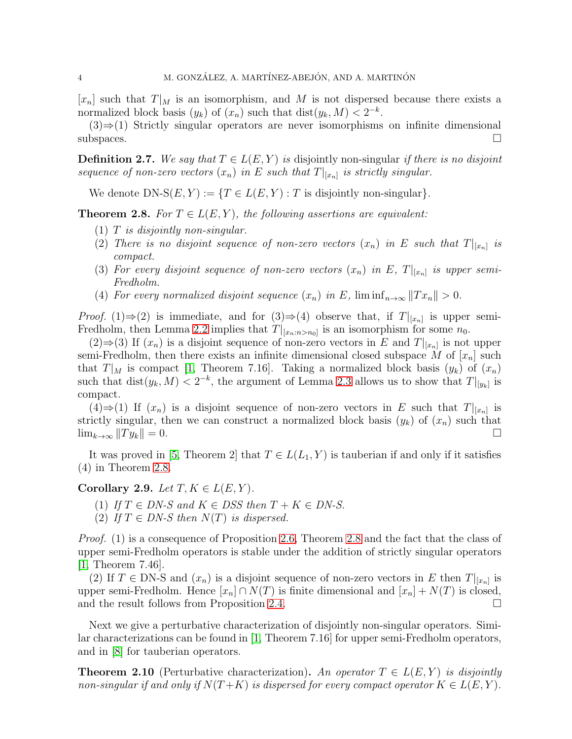$[x_n]$  such that  $T|_M$  is an isomorphism, and M is not dispersed because there exists a normalized block basis  $(y_k)$  of  $(x_n)$  such that  $dist(y_k, M) < 2^{-k}$ .

 $(3) \Rightarrow (1)$  Strictly singular operators are never isomorphisms on infinite dimensional  $\Box$ subspaces.

**Definition 2.7.** We say that  $T \in L(E, Y)$  is disjointly non-singular *if there is no disjoint sequence of non-zero vectors*  $(x_n)$  *in* E *such that*  $T|_{[x_n]}$  *is strictly singular.* 

We denote DN-S $(E, Y) := \{T \in L(E, Y) : T$  is disjointly non-singular.

<span id="page-3-0"></span>**Theorem 2.8.** *For*  $T \in L(E, Y)$ *, the following assertions are equivalent:* 

- (1) T *is disjointly non-singular.*
- (2) There is no disjoint sequence of non-zero vectors  $(x_n)$  in E such that  $T|_{[x_n]}$  is *compact.*
- (3) For every disjoint sequence of non-zero vectors  $(x_n)$  in E,  $T|_{[x_n]}$  is upper semi-*Fredholm.*
- (4) For every normalized disjoint sequence  $(x_n)$  in E,  $\liminf_{n\to\infty}||Tx_n|| > 0$ .

*Proof.* (1)⇒(2) is immediate, and for  $(3) \Rightarrow (4)$  observe that, if  $T|_{[x_n]}$  is upper semi-Fredholm, then Lemma [2.2](#page-1-0) implies that  $T|_{[x_n:n>n_0]}$  is an isomorphism for some  $n_0$ .

 $(2) \Rightarrow (3)$  If  $(x_n)$  is a disjoint sequence of non-zero vectors in E and  $T|_{[x_n]}$  is not upper semi-Fredholm, then there exists an infinite dimensional closed subspace M of  $[x_n]$  such that  $T|_M$  is compact [\[1,](#page-10-9) Theorem 7.16]. Taking a normalized block basis  $(y_k)$  of  $(x_n)$ such that  $dist(y_k, M) < 2^{-k}$ , the argument of Lemma [2.3](#page-1-1) allows us to show that  $T|_{[y_k]}$  is compact.

 $(4) \Rightarrow (1)$  If  $(x_n)$  is a disjoint sequence of non-zero vectors in E such that  $T|_{[x_n]}$  is strictly singular, then we can construct a normalized block basis  $(y_k)$  of  $(x_n)$  such that  $\lim_{k\to\infty}$   $||Ty_k|| = 0.$ 

It was proved in [\[5,](#page-10-0) Theorem 2] that  $T \in L(L_1, Y)$  is tauberian if and only if it satisfies (4) in Theorem [2.8.](#page-3-0)

<span id="page-3-1"></span>Corollary 2.9. *Let*  $T, K \in L(E, Y)$ *.* 

- (1) If  $T \in DN-S$  and  $K \in DSS$  then  $T + K \in DN-S$ .
- (2) If  $T \in DN-S$  then  $N(T)$  is dispersed.

*Proof.* (1) is a consequence of Proposition [2.6,](#page-2-0) Theorem [2.8](#page-3-0) and the fact that the class of upper semi-Fredholm operators is stable under the addition of strictly singular operators [\[1,](#page-10-9) Theorem 7.46].

(2) If  $T \in DN-S$  and  $(x_n)$  is a disjoint sequence of non-zero vectors in E then  $T|_{[x_n]}$  is upper semi-Fredholm. Hence  $[x_n] \cap N(T)$  is finite dimensional and  $[x_n] + N(T)$  is closed, and the result follows from Proposition [2.4.](#page-2-1)

Next we give a perturbative characterization of disjointly non-singular operators. Similar characterizations can be found in [\[1,](#page-10-9) Theorem 7.16] for upper semi-Fredholm operators, and in [\[8\]](#page-10-10) for tauberian operators.

<span id="page-3-2"></span>**Theorem 2.10** (Perturbative characterization). An operator  $T \in L(E, Y)$  is disjointly *non-singular if and only if*  $N(T+K)$  *is dispersed for every compact operator*  $K \in L(E, Y)$ *.*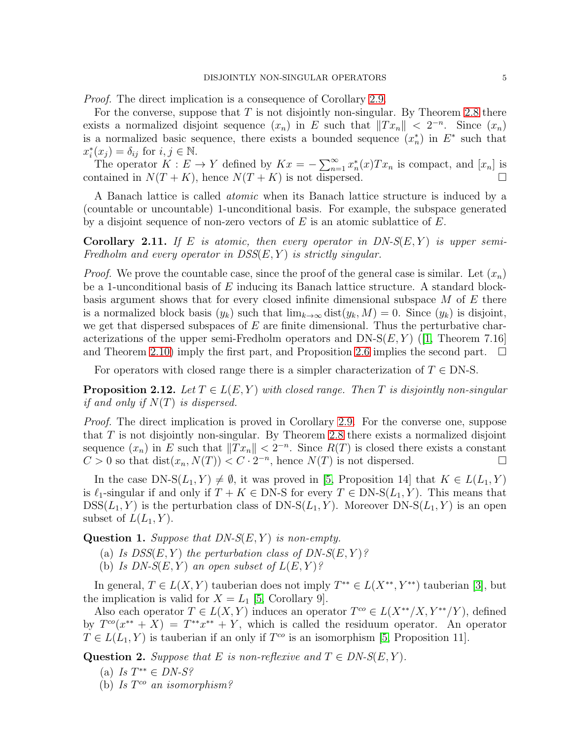*Proof.* The direct implication is a consequence of Corollary [2.9.](#page-3-1)

For the converse, suppose that  $T$  is not disjointly non-singular. By Theorem [2.8](#page-3-0) there exists a normalized disjoint sequence  $(x_n)$  in E such that  $||Tx_n|| < 2^{-n}$ . Since  $(x_n)$ is a normalized basic sequence, there exists a bounded sequence  $(x_n^*)$  in  $E^*$  such that  $x_i^*(x_j) = \delta_{ij}$  for  $i, j \in \mathbb{N}$ .

The operator  $K: E \to Y$  defined by  $Kx = -\sum_{n=1}^{\infty} x_n^*(x) Tx_n$  is compact, and  $[x_n]$  is contained in  $N(T+K)$ , hence  $N(T+K)$  is not dispersed.

A Banach lattice is called *atomic* when its Banach lattice structure is induced by a (countable or uncountable) 1-unconditional basis. For example, the subspace generated by a disjoint sequence of non-zero vectors of  $E$  is an atomic sublattice of  $E$ .

**Corollary 2.11.** If E is atomic, then every operator in  $DN-S(E,Y)$  is upper semi-*Fredholm and every operator in DSS*(E, Y ) *is strictly singular.*

*Proof.* We prove the countable case, since the proof of the general case is similar. Let  $(x_n)$ be a 1-unconditional basis of  $E$  inducing its Banach lattice structure. A standard blockbasis argument shows that for every closed infinite dimensional subspace  $M$  of  $E$  there is a normalized block basis  $(y_k)$  such that  $\lim_{k\to\infty} dist(y_k, M) = 0$ . Since  $(y_k)$  is disjoint, we get that dispersed subspaces of  $E$  are finite dimensional. Thus the perturbative characterizations of the upper semi-Fredholm operators and  $DN-S(E, Y)$  (1, Theorem 7.16) and Theorem [2.10\)](#page-3-2) imply the first part, and Proposition [2.6](#page-2-0) implies the second part.  $\square$ 

For operators with closed range there is a simpler characterization of  $T \in DN-S$ .

<span id="page-4-0"></span>**Proposition 2.12.** Let  $T \in L(E, Y)$  with closed range. Then T is disjointly non-singular *if and only if* N(T) *is dispersed.*

*Proof.* The direct implication is proved in Corollary [2.9.](#page-3-1) For the converse one, suppose that  $T$  is not disjointly non-singular. By Theorem [2.8](#page-3-0) there exists a normalized disjoint sequence  $(x_n)$  in E such that  $||Tx_n|| < 2^{-n}$ . Since  $R(T)$  is closed there exists a constant  $C > 0$  so that  $dist(x_n, N(T)) < C \cdot 2^{-n}$ , hence  $N(T)$  is not dispersed.

In the case DN-S( $L_1, Y$ )  $\neq \emptyset$ , it was proved in [\[5,](#page-10-0) Proposition 14] that  $K \in L(L_1, Y)$ is  $\ell_1$ -singular if and only if  $T + K \in DN-S$  for every  $T \in DN-S(L_1, Y)$ . This means that  $DSS(L_1, Y)$  is the perturbation class of  $DN-S(L_1, Y)$ . Moreover  $DN-S(L_1, Y)$  is an open subset of  $L(L_1, Y)$ .

<span id="page-4-1"></span>**Question 1.** *Suppose that DN-S(E,Y) is non-empty.* 

- (a) *Is DSS* $(E, Y)$  *the perturbation class of DN-S* $(E, Y)$ *?*
- (b) *Is DN-S* $(E, Y)$  *an open subset of*  $L(E, Y)$ ?

In general,  $T \in L(X, Y)$  tauberian does not imply  $T^{**} \in L(X^{**}, Y^{**})$  tauberian [\[3\]](#page-10-11), but the implication is valid for  $X = L_1$  [\[5,](#page-10-0) Corollary 9].

Also each operator  $T \in L(X,Y)$  induces an operator  $T^{co} \in L(X^{**}/X, Y^{**}/Y)$ , defined by  $T^{co}(x^{**} + X) = T^{**}x^{**} + Y$ , which is called the residuum operator. An operator  $T \in L(L_1, Y)$  is tauberian if an only if  $T^{co}$  is an isomorphism [\[5,](#page-10-0) Proposition 11].

Question 2. *Suppose that* E *is non-reflexive and*  $T \in DN-S(E,Y)$ *.* 

- (a) *Is* T ∗∗ ∈ *DN-S?*
- (b) *Is* T co *an isomorphism?*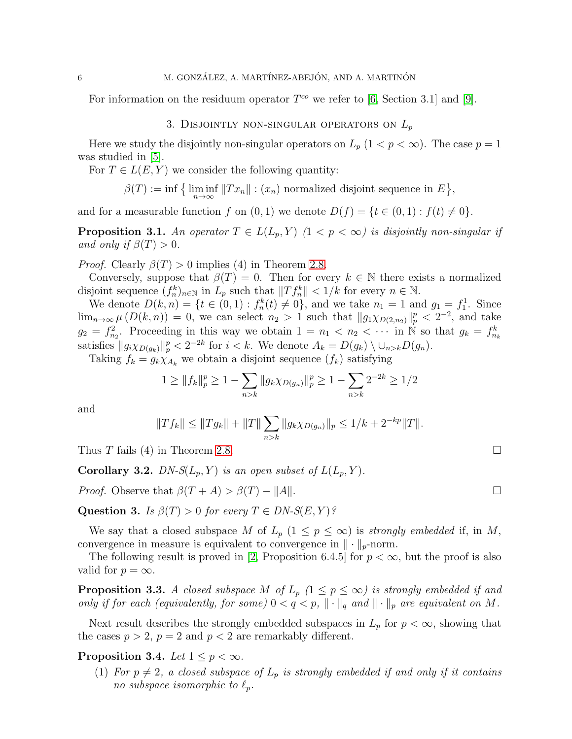For information on the residuum operator  $T^{co}$  we refer to [\[6,](#page-10-6) Section 3.1] and [\[9\]](#page-10-12).

## 3. DISJOINTLY NON-SINGULAR OPERATORS ON  $L_p$

Here we study the disjointly non-singular operators on  $L_p$  ( $1 < p < \infty$ ). The case  $p = 1$ was studied in [\[5\]](#page-10-0).

For  $T \in L(E, Y)$  we consider the following quantity:

$$
\beta(T) := \inf \{ \liminf_{n \to \infty} ||Tx_n|| : (x_n) \text{ normalized disjoint sequence in } E \},\
$$

and for a measurable function f on  $(0, 1)$  we denote  $D(f) = \{t \in (0, 1) : f(t) \neq 0\}.$ 

**Proposition 3.1.** An operator  $T \in L(L_p, Y)$   $(1 \leq p \leq \infty)$  is disjointly non-singular if *and only if*  $\beta(T) > 0$ *.* 

*Proof.* Clearly  $\beta(T) > 0$  implies (4) in Theorem [2.8.](#page-3-0)

Conversely, suppose that  $\beta(T) = 0$ . Then for every  $k \in \mathbb{N}$  there exists a normalized disjoint sequence  $(f_n^k)_{n\in\mathbb{N}}$  in  $L_p$  such that  $||Tf_n^k|| < 1/k$  for every  $n \in \mathbb{N}$ .

We denote  $D(k, n) = \{t \in (0, 1) : f_n^k(t) \neq 0\}$ , and we take  $n_1 = 1$  and  $g_1 = f_1^1$ . Since  $\lim_{n\to\infty}\mu\left(D(k,n)\right)=0$ , we can select  $n_2>1$  such that  $||g_1\chi_{D(2,n_2)}||_p^p<2^{-2}$ , and take  $g_2 = f_{n_2}^2$ . Proceeding in this way we obtain  $1 = n_1 < n_2 < \cdots$  in N so that  $g_k = f_{n_k}^k$ satisfies  $||g_i \chi_{D(g_k)}||_p^p < 2^{-2k}$  for  $i < k$ . We denote  $A_k = D(g_k) \setminus \cup_{n > k} D(g_n)$ .

Taking  $f_k = g_k \chi_{A_k}$  we obtain a disjoint sequence  $(f_k)$  satisfying

$$
1 \geq ||f_k||_p^p \geq 1 - \sum_{n>k} ||g_k \chi_{D(g_n)}||_p^p \geq 1 - \sum_{n>k} 2^{-2k} \geq 1/2
$$

and

$$
||Tf_k|| \leq ||Tg_k|| + ||T|| \sum_{n>k} ||g_k \chi_{D(g_n)}||_p \leq 1/k + 2^{-kp} ||T||.
$$

Thus T fails (4) in Theorem [2.8.](#page-3-0)

**Corollary 3.2.** *DN-S*( $L_p$ ,  $Y$ ) *is an open subset of*  $L(L_p, Y)$ *.* 

*Proof.* Observe that  $\beta(T + A) > \beta(T) - ||A||$ .

Question 3. *Is*  $\beta(T) > 0$  *for every*  $T \in DN-S(E, Y)$ ?

We say that a closed subspace M of  $L_p$   $(1 \leq p \leq \infty)$  is *strongly embedded* if, in M, convergence in measure is equivalent to convergence in  $\|\cdot\|_p$ -norm.

The following result is proved in [\[2,](#page-10-2) Proposition 6.4.5] for  $p < \infty$ , but the proof is also valid for  $p = \infty$ .

<span id="page-5-1"></span>**Proposition 3.3.** *A closed subspace* M of  $L_p$  ( $1 \leq p \leq \infty$ ) is strongly embedded if and *only if for each (equivalently, for some)*  $0 < q < p$ ,  $\|\cdot\|_q$  *and*  $\|\cdot\|_p$  *are equivalent on* M.

Next result describes the strongly embedded subspaces in  $L_p$  for  $p < \infty$ , showing that the cases  $p > 2$ ,  $p = 2$  and  $p < 2$  are remarkably different.

# <span id="page-5-0"></span>Proposition 3.4. Let  $1 \leq p < \infty$ .

(1) For  $p \neq 2$ , a closed subspace of  $L_p$  is strongly embedded if and only if it contains *no subspace isomorphic to*  $\ell_p$ *.*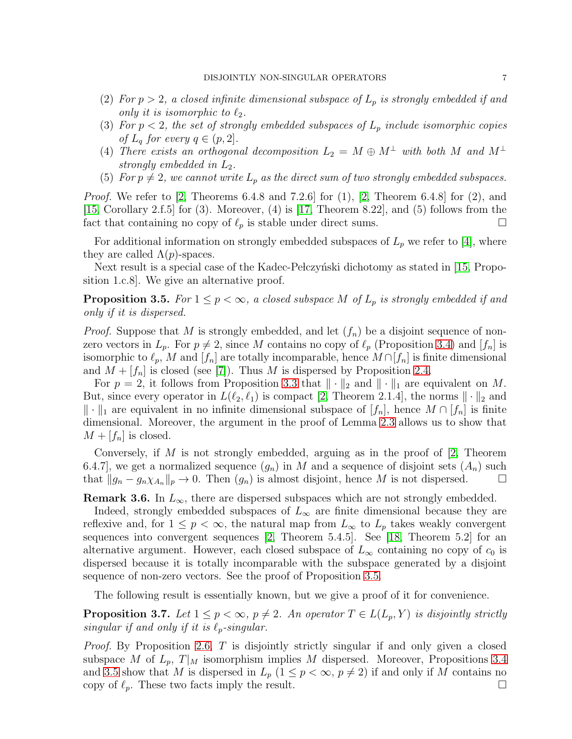- (2) For  $p > 2$ , a closed infinite dimensional subspace of  $L_p$  is strongly embedded if and *only it is isomorphic to*  $\ell_2$ *.*
- (3) For  $p < 2$ , the set of strongly embedded subspaces of  $L_p$  include isomorphic copies *of*  $L_q$  *for every*  $q \in (p, 2]$ *.*
- (4) *There exists an orthogonal decomposition*  $L_2 = M \oplus M^{\perp}$  *with both* M and  $M^{\perp}$ *strongly embedded in*  $L_2$ *.*
- (5) For  $p \neq 2$ , we cannot write  $L_p$  as the direct sum of two strongly embedded subspaces.

*Proof.* We refer to [\[2,](#page-10-2) Theorems 6.4.8 and 7.2.6] for (1), [2, Theorem 6.4.8] for (2), and [\[15,](#page-10-13) Corollary 2.f.5] for (3). Moreover, (4) is [\[17,](#page-10-3) Theorem 8.22], and (5) follows from the fact that containing no copy of  $\ell_p$  is stable under direct sums.

For additional information on strongly embedded subspaces of  $L_p$  we refer to [\[4\]](#page-10-14), where they are called  $\Lambda(p)$ -spaces.

Next result is a special case of the Kadec-Pe eigy is dichotomy as stated in [\[15,](#page-10-13) Proposition 1.c.8]. We give an alternative proof.

<span id="page-6-0"></span>**Proposition 3.5.** *For*  $1 \leq p < \infty$ *, a closed subspace* M *of*  $L_p$  *is strongly embedded if and only if it is dispersed.*

*Proof.* Suppose that M is strongly embedded, and let  $(f_n)$  be a disjoint sequence of nonzero vectors in  $L_p$ . For  $p \neq 2$ , since M contains no copy of  $\ell_p$  (Proposition [3.4\)](#page-5-0) and  $[f_n]$  is isomorphic to  $\ell_p$ , M and  $[f_n]$  are totally incomparable, hence  $M \cap [f_n]$  is finite dimensional and  $M + [f_n]$  is closed (see [\[7\]](#page-10-7)). Thus M is dispersed by Proposition [2.4.](#page-2-1)

For  $p = 2$ , it follows from Proposition [3.3](#page-5-1) that  $\|\cdot\|_2$  and  $\|\cdot\|_1$  are equivalent on M. But, since every operator in  $L(\ell_2, \ell_1)$  is compact [\[2,](#page-10-2) Theorem 2.1.4], the norms  $\|\cdot\|_2$  and  $\|\cdot\|_1$  are equivalent in no infinite dimensional subspace of  $[f_n]$ , hence  $M \cap [f_n]$  is finite dimensional. Moreover, the argument in the proof of Lemma [2.3](#page-1-1) allows us to show that  $M + [f_n]$  is closed.

Conversely, if M is not strongly embedded, arguing as in the proof of  $[2,$  Theorem 6.4.7], we get a normalized sequence  $(g_n)$  in M and a sequence of disjoint sets  $(A_n)$  such that  $||g_n - g_n \chi_{A_n}||_p \to 0$ . Then  $(g_n)$  is almost disjoint, hence M is not dispersed.  $\square$ 

**Remark 3.6.** In  $L_{\infty}$ , there are dispersed subspaces which are not strongly embedded.

Indeed, strongly embedded subspaces of  $L_{\infty}$  are finite dimensional because they are reflexive and, for  $1 \leq p < \infty$ , the natural map from  $L_{\infty}$  to  $L_p$  takes weakly convergent sequences into convergent sequences [\[2,](#page-10-2) Theorem 5.4.5]. See [\[18,](#page-10-15) Theorem 5.2] for an alternative argument. However, each closed subspace of  $L_{\infty}$  containing no copy of  $c_0$  is dispersed because it is totally incomparable with the subspace generated by a disjoint sequence of non-zero vectors. See the proof of Proposition [3.5.](#page-6-0)

The following result is essentially known, but we give a proof of it for convenience.

**Proposition 3.7.** Let  $1 \leq p < \infty$ ,  $p \neq 2$ . An operator  $T \in L(L_p, Y)$  is disjointly strictly  $singular$  *if and only if it is*  $\ell_p$ -singular.

*Proof.* By Proposition [2.6,](#page-2-0) T is disjointly strictly singular if and only given a closed subspace M of  $L_p$ ,  $T|_M$  isomorphism implies M dispersed. Moreover, Propositions [3.4](#page-5-0) and [3.5](#page-6-0) show that M is dispersed in  $L_p$   $(1 \leq p < \infty, p \neq 2)$  if and only if M contains no copy of  $\ell_p$ . These two facts imply the result.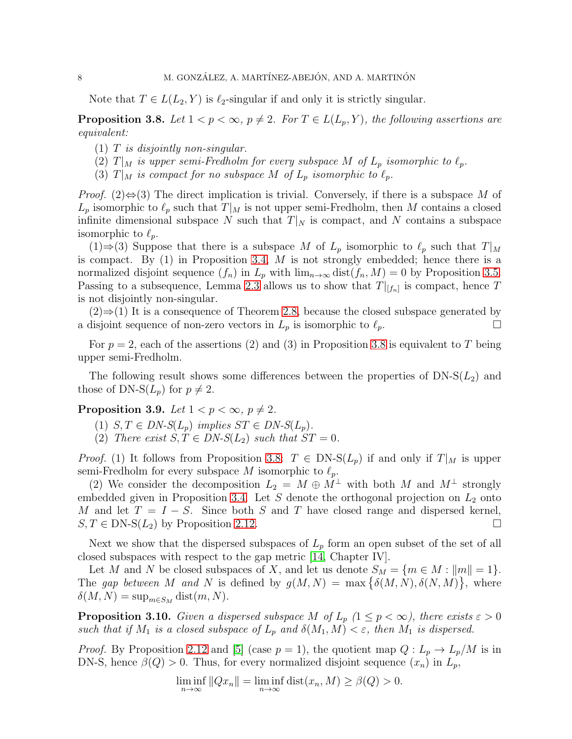Note that  $T \in L(L_2, Y)$  is  $\ell_2$ -singular if and only it is strictly singular.

<span id="page-7-0"></span>**Proposition 3.8.** Let  $1 < p < \infty$ ,  $p \neq 2$ . For  $T \in L(L_p, Y)$ , the following assertions are *equivalent:*

- (1) T *is disjointly non-singular.*
- (2)  $T|_M$  *is upper semi-Fredholm for every subspace* M *of*  $L_p$  *isomorphic to*  $\ell_p$ *.*
- (3)  $T|_M$  *is compact for no subspace* M *of*  $L_p$  *isomorphic to*  $\ell_p$ *.*

*Proof.* (2) $\Leftrightarrow$  (3) The direct implication is trivial. Conversely, if there is a subspace M of  $L_p$  isomorphic to  $\ell_p$  such that  $T|_M$  is not upper semi-Fredholm, then M contains a closed infinite dimensional subspace N such that  $T|_N$  is compact, and N contains a subspace isomorphic to  $\ell_p$ .

(1)⇒(3) Suppose that there is a subspace M of  $L_p$  isomorphic to  $\ell_p$  such that  $T|_M$ is compact. By  $(1)$  in Proposition [3.4,](#page-5-0) M is not strongly embedded; hence there is a normalized disjoint sequence  $(f_n)$  in  $L_p$  with  $\lim_{n\to\infty} dist(f_n, M) = 0$  by Proposition [3.5.](#page-6-0) Passing to a subsequence, Lemma [2.3](#page-1-1) allows us to show that  $T|_{[f_n]}$  is compact, hence T is not disjointly non-singular.

 $(2) \Rightarrow (1)$  It is a consequence of Theorem [2.8,](#page-3-0) because the closed subspace generated by a disjoint sequence of non-zero vectors in  $L_p$  is isomorphic to  $\ell_p$ .

For  $p = 2$ , each of the assertions (2) and (3) in Proposition [3.8](#page-7-0) is equivalent to T being upper semi-Fredholm.

The following result shows some differences between the properties of  $DN-S(L_2)$  and those of DN-S( $L_p$ ) for  $p \neq 2$ .

## Proposition 3.9. Let  $1 < p < \infty$ ,  $p \neq 2$ .

- (1)  $S, T \in DN-S(L_p)$  *implies*  $ST \in DN-S(L_p)$ .
- (2) There exist  $S, T \in DN-S(L_2)$  such that  $ST = 0$ .

*Proof.* (1) It follows from Proposition [3.8:](#page-7-0)  $T \in DN-S(L_p)$  if and only if  $T|_M$  is upper semi-Fredholm for every subspace M isomorphic to  $\ell_p$ .

(2) We consider the decomposition  $L_2 = M \oplus M^{\perp}$  with both M and  $M^{\perp}$  strongly embedded given in Proposition [3.4.](#page-5-0) Let  $S$  denote the orthogonal projection on  $L_2$  onto M and let  $T = I - S$ . Since both S and T have closed range and dispersed kernel,  $S, T \in DN-S(L_2)$  by Proposition [2.12.](#page-4-0)

Next we show that the dispersed subspaces of  $L_p$  form an open subset of the set of all closed subspaces with respect to the gap metric [\[14,](#page-10-16) Chapter IV].

Let M and N be closed subspaces of X, and let us denote  $S_M = \{m \in M : ||m|| = 1\}.$ The gap between M and N is defined by  $g(M, N) = \max \{\delta(M, N), \delta(N, M)\},\$  where  $\delta(M, N) = \sup_{m \in S_M} \text{dist}(m, N).$ 

<span id="page-7-1"></span>**Proposition 3.10.** *Given a dispersed subspace* M of  $L_p$  ( $1 \leq p < \infty$ ), there exists  $\varepsilon > 0$ *such that if*  $M_1$  *is a closed subspace of*  $L_p$  *and*  $\delta(M_1, M) < \varepsilon$ *, then*  $M_1$  *is dispersed.* 

*Proof.* By Proposition [2.12](#page-4-0) and [\[5\]](#page-10-0) (case  $p = 1$ ), the quotient map  $Q: L_p \to L_p/M$  is in DN-S, hence  $\beta(Q) > 0$ . Thus, for every normalized disjoint sequence  $(x_n)$  in  $L_p$ ,

$$
\liminf_{n \to \infty} ||Qx_n|| = \liminf_{n \to \infty} \text{dist}(x_n, M) \ge \beta(Q) > 0.
$$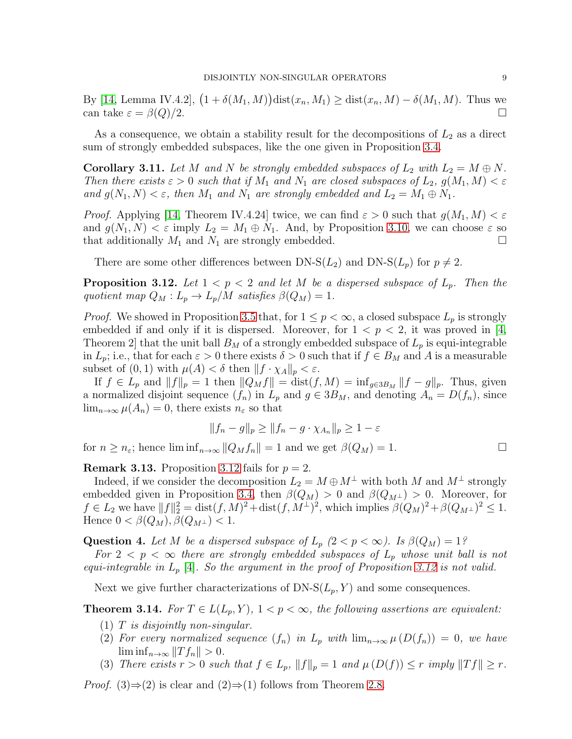By [\[14,](#page-10-16) Lemma IV.4.2],  $(1 + \delta(M_1, M))$ dist $(x_n, M_1) \geq \text{dist}(x_n, M) - \delta(M_1, M)$ . Thus we can take  $\varepsilon = \beta(Q)/2$ .

As a consequence, we obtain a stability result for the decompositions of  $L_2$  as a direct sum of strongly embedded subspaces, like the one given in Proposition [3.4.](#page-5-0)

**Corollary 3.11.** Let M and N be strongly embedded subspaces of  $L_2$  with  $L_2 = M \oplus N$ . *Then there exists*  $\varepsilon > 0$  *such that if*  $M_1$  *and*  $N_1$  *are closed subspaces of*  $L_2$ *,*  $g(M_1, M) < \varepsilon$ *and*  $g(N_1, N) < \varepsilon$ , then  $M_1$  *and*  $N_1$  *are strongly embedded and*  $L_2 = M_1 \oplus N_1$ *.* 

*Proof.* Applying [\[14,](#page-10-16) Theorem IV.4.24] twice, we can find  $\varepsilon > 0$  such that  $g(M_1, M) < \varepsilon$ and  $g(N_1, N) < \varepsilon$  imply  $L_2 = M_1 \oplus N_1$ . And, by Proposition [3.10,](#page-7-1) we can choose  $\varepsilon$  so that additionally  $M_1$  and  $N_1$  are strongly embedded.

There are some other differences between DN-S( $L_2$ ) and DN-S( $L_p$ ) for  $p \neq 2$ .

<span id="page-8-0"></span>**Proposition 3.12.** Let  $1 < p < 2$  and let M be a dispersed subspace of  $L_p$ . Then the *quotient map*  $Q_M: L_p \to L_p/M$  *satisfies*  $\beta(Q_M) = 1$ .

*Proof.* We showed in Proposition [3.5](#page-6-0) that, for  $1 \leq p < \infty$ , a closed subspace  $L_p$  is strongly embedded if and only if it is dispersed. Moreover, for  $1 < p < 2$ , it was proved in [\[4,](#page-10-14) Theorem 2 that the unit ball  $B_M$  of a strongly embedded subspace of  $L_p$  is equi-integrable in  $L_p$ ; i.e., that for each  $\varepsilon > 0$  there exists  $\delta > 0$  such that if  $f \in B_M$  and A is a measurable subset of  $(0, 1)$  with  $\mu(A) < \delta$  then  $||f \cdot \chi_A||_p < \varepsilon$ .

If  $f \in L_p$  and  $||f||_p = 1$  then  $||Q_Mf|| = \text{dist}(f, M) = \inf_{g \in 3B_M} ||f - g||_p$ . Thus, given a normalized disjoint sequence  $(f_n)$  in  $L_p$  and  $g \in 3B_M$ , and denoting  $A_n = D(f_n)$ , since  $\lim_{n\to\infty}\mu(A_n)=0$ , there exists  $n_{\varepsilon}$  so that

$$
||f_n - g||_p \ge ||f_n - g \cdot \chi_{A_n}||_p \ge 1 - \varepsilon
$$

for  $n \geq n_{\varepsilon}$ ; hence  $\liminf_{n \to \infty} ||Q_M f_n|| = 1$  and we get  $\beta(Q_M) = 1$ .

**Remark 3.13.** Proposition [3.12](#page-8-0) fails for  $p = 2$ .

Indeed, if we consider the decomposition  $L_2 = M \oplus M^{\perp}$  with both M and  $M^{\perp}$  strongly embedded given in Proposition [3.4,](#page-5-0) then  $\beta(Q_M) > 0$  and  $\beta(Q_{M^{\perp}}) > 0$ . Moreover, for  $f \in L_2$  we have  $||f||_2^2 = \text{dist}(f, M)^2 + \text{dist}(f, M^{\perp})^2$ , which implies  $\beta(Q_M)^2 + \beta(Q_{M^{\perp}})^2 \leq 1$ . Hence  $0 < \beta(Q_M)$ ,  $\beta(Q_{M^{\perp}}) < 1$ .

**Question 4.** Let M be a dispersed subspace of  $L_p$   $(2 < p < \infty)$ . Is  $\beta(Q_M) = 1$ ? *For*  $2 < p < \infty$  *there are strongly embedded subspaces of*  $L_p$  *whose unit ball is not equi-integrable in* L<sup>p</sup> [\[4\]](#page-10-14)*. So the argument in the proof of Proposition [3.12](#page-8-0) is not valid.*

Next we give further characterizations of  $DN-S(L_p, Y)$  and some consequences.

<span id="page-8-1"></span>**Theorem 3.14.** *For*  $T \in L(L_p, Y)$ ,  $1 < p < \infty$ , *the following assertions are equivalent:* 

- (1) T *is disjointly non-singular.*
- (2) For every normalized sequence  $(f_n)$  in  $L_p$  with  $\lim_{n\to\infty} \mu(D(f_n)) = 0$ , we have  $\liminf_{n\to\infty}$   $||T f_n|| > 0.$
- (3) *There exists*  $r > 0$  *such that*  $f \in L_p$ ,  $||f||_p = 1$  *and*  $\mu(D(f)) \leq r$  *imply*  $||Tf|| \geq r$ *.*

*Proof.* (3) $\Rightarrow$  (2) is clear and (2) $\Rightarrow$  (1) follows from Theorem [2.8.](#page-3-0)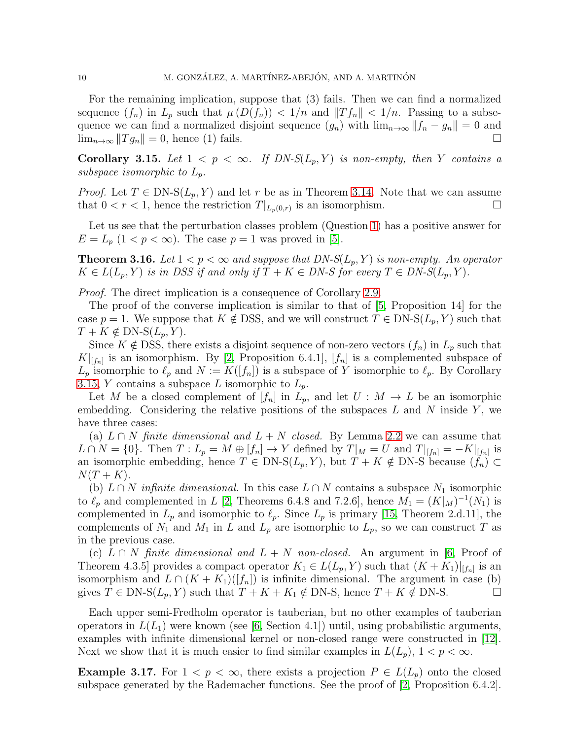For the remaining implication, suppose that (3) fails. Then we can find a normalized sequence  $(f_n)$  in  $L_p$  such that  $\mu(D(f_n)) < 1/n$  and  $||Tf_n|| < 1/n$ . Passing to a subsequence we can find a normalized disjoint sequence  $(g_n)$  with  $\lim_{n\to\infty} ||f_n - g_n|| = 0$  and  $\lim_{n\to\infty}$   $||T g_n|| = 0$ , hence (1) fails.

<span id="page-9-0"></span>Corollary 3.15. Let  $1 < p < \infty$ . If  $DN-S(L_p, Y)$  is non-empty, then Y contains a *subspace isomorphic to*  $L_p$ .

*Proof.* Let  $T \in DN-S(L_p, Y)$  and let r be as in Theorem [3.14.](#page-8-1) Note that we can assume that  $0 < r < 1$ , hence the restriction  $T|_{L_p(0,r)}$  is an isomorphism.

Let us see that the perturbation classes problem (Question [1\)](#page-4-1) has a positive answer for  $E = L_p$   $(1 < p < \infty)$ . The case  $p = 1$  was proved in [\[5\]](#page-10-0).

**Theorem 3.16.** Let  $1 < p < \infty$  and suppose that  $DN-S(L_p, Y)$  is non-empty. An operator  $K \in L(L_p, Y)$  *is in DSS if and only if*  $T + K \in DN-S$  *for every*  $T \in DN-S(L_p, Y)$ *.* 

*Proof.* The direct implication is a consequence of Corollary [2.9.](#page-3-1)

The proof of the converse implication is similar to that of [\[5,](#page-10-0) Proposition 14] for the case  $p = 1$ . We suppose that  $K \notin \text{DSS}$ , and we will construct  $T \in \text{DN-S}(L_p, Y)$  such that  $T + K \notin \text{DN-S}(L_p, Y)$ .

Since  $K \notin \text{DSS}$ , there exists a disjoint sequence of non-zero vectors  $(f_n)$  in  $L_p$  such that  $K|_{[f_n]}$  is an isomorphism. By [\[2,](#page-10-2) Proposition 6.4.1],  $[f_n]$  is a complemented subspace of  $L_p$  isomorphic to  $\ell_p$  and  $N := K([f_n])$  is a subspace of Y isomorphic to  $\ell_p$ . By Corollary [3.15,](#page-9-0) Y contains a subspace L isomorphic to  $L_p$ .

Let M be a closed complement of  $[f_n]$  in  $L_p$ , and let  $U : M \to L$  be an isomorphic embedding. Considering the relative positions of the subspaces  $L$  and  $N$  inside  $Y$ , we have three cases:

(a)  $L \cap N$  *finite dimensional and*  $L + N$  *closed.* By Lemma [2.2](#page-1-0) we can assume that  $L \cap N = \{0\}$ . Then  $T: L_p = M \oplus [f_n] \to Y$  defined by  $T|_M = U$  and  $T|_{[f_n]} = -K|_{[f_n]}$  is an isomorphic embedding, hence  $T \in DN-S(L_p, Y)$ , but  $T + K \notin DN-S$  because  $(f_n) \subset$  $N(T+K).$ 

(b)  $L \cap N$  *infinite dimensional*. In this case  $L \cap N$  contains a subspace  $N_1$  isomorphic to  $\ell_p$  and complemented in L [\[2,](#page-10-2) Theorems 6.4.8 and 7.2.6], hence  $M_1 = (K|_M)^{-1}(N_1)$  is complemented in  $L_p$  and isomorphic to  $\ell_p$ . Since  $L_p$  is primary [\[15,](#page-10-13) Theorem 2.d.11], the complements of  $N_1$  and  $M_1$  in L and  $L_p$  are isomorphic to  $L_p$ , so we can construct T as in the previous case.

(c) L ∩ N *finite dimensional and* L + N *non-closed.* An argument in [\[6,](#page-10-6) Proof of Theorem 4.3.5] provides a compact operator  $K_1 \in L(L_p, Y)$  such that  $(K+K_1)|_{[f_n]}$  is an isomorphism and  $L \cap (K + K_1)([f_n])$  is infinite dimensional. The argument in case (b) gives  $T \in \text{DN-S}(L_p, Y)$  such that  $T + K + K_1 \notin \text{DN-S}$ , hence  $T + K \notin \text{DN-S}$ .

Each upper semi-Fredholm operator is tauberian, but no other examples of tauberian operators in  $L(L_1)$  were known (see [\[6,](#page-10-6) Section 4.1]) until, using probabilistic arguments, examples with infinite dimensional kernel or non-closed range were constructed in [\[12\]](#page-10-17). Next we show that it is much easier to find similar examples in  $L(L_p)$ ,  $1 < p < \infty$ .

**Example 3.17.** For  $1 < p < \infty$ , there exists a projection  $P \in L(L_p)$  onto the closed subspace generated by the Rademacher functions. See the proof of [\[2,](#page-10-2) Proposition 6.4.2].